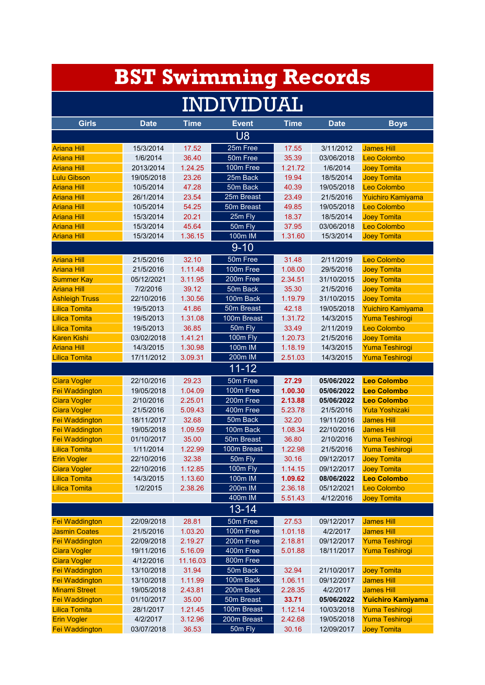|                       |             |             | <b>BST Swimming Records</b> |             |             |                          |  |  |
|-----------------------|-------------|-------------|-----------------------------|-------------|-------------|--------------------------|--|--|
| <b>INDIVIDUAL</b>     |             |             |                             |             |             |                          |  |  |
| <b>Girls</b>          | <b>Date</b> | <b>Time</b> | <b>Event</b>                | <b>Time</b> | <b>Date</b> | <b>Boys</b>              |  |  |
|                       |             |             | <b>U8</b>                   |             |             |                          |  |  |
| <b>Ariana Hill</b>    | 15/3/2014   | 17.52       | 25m Free                    | 17.55       | 3/11/2012   | <b>James Hill</b>        |  |  |
| <b>Ariana Hill</b>    | 1/6/2014    | 36.40       | 50m Free                    | 35.39       | 03/06/2018  | Leo Colombo              |  |  |
| <b>Ariana Hill</b>    | 2013/2014   | 1.24.25     | 100m Free                   | 1.21.72     | 1/6/2014    | <b>Joey Tomita</b>       |  |  |
| <b>Lulu Gibson</b>    | 19/05/2018  | 23.26       | 25m Back                    | 19.94       | 18/5/2014   | <b>Joey Tomita</b>       |  |  |
| <b>Ariana Hill</b>    | 10/5/2014   | 47.28       | 50m Back                    | 40.39       | 19/05/2018  | Leo Colombo              |  |  |
| <b>Ariana Hill</b>    | 26/1/2014   | 23.54       | 25m Breast                  | 23.49       | 21/5/2016   | Yuichiro Kamiyama        |  |  |
| <b>Ariana Hill</b>    | 10/5/2014   | 54.25       | 50m Breast                  | 49.85       | 19/05/2018  | Leo Colombo              |  |  |
| <b>Ariana Hill</b>    | 15/3/2014   | 20.21       | 25m Fly                     | 18.37       | 18/5/2014   | <b>Joey Tomita</b>       |  |  |
| <b>Ariana Hill</b>    | 15/3/2014   | 45.64       | 50m Fly                     | 37.95       | 03/06/2018  | Leo Colombo              |  |  |
| <b>Ariana Hill</b>    | 15/3/2014   | 1.36.15     | 100m IM                     | 1.31.60     | 15/3/2014   | <b>Joey Tomita</b>       |  |  |
|                       |             |             | $9 - 10$                    |             |             |                          |  |  |
| <b>Ariana Hill</b>    | 21/5/2016   | 32.10       | 50m Free                    | 31.48       | 2/11/2019   | Leo Colombo              |  |  |
| <b>Ariana Hill</b>    | 21/5/2016   | 1.11.48     | 100m Free                   | 1.08.00     | 29/5/2016   | <b>Joey Tomita</b>       |  |  |
| <b>Summer Kay</b>     | 05/12/2021  | 3.11.95     | 200m Free                   | 2.34.51     | 31/10/2015  | <b>Joey Tomita</b>       |  |  |
| <b>Ariana Hill</b>    | 7/2/2016    | 39.12       | 50m Back                    | 35.30       | 21/5/2016   | <b>Joey Tomita</b>       |  |  |
| <b>Ashleigh Truss</b> | 22/10/2016  | 1.30.56     | 100m Back                   | 1.19.79     | 31/10/2015  | <b>Joey Tomita</b>       |  |  |
| <b>Lilica Tomita</b>  | 19/5/2013   | 41.86       | 50m Breast                  | 42.18       | 19/05/2018  | Yuichiro Kamiyama        |  |  |
| <b>Lilica Tomita</b>  | 19/5/2013   | 1.31.08     | 100m Breast                 | 1.31.72     | 14/3/2015   | Yuma Teshirogi           |  |  |
| <b>Lilica Tomita</b>  | 19/5/2013   | 36.85       | 50m Fly                     | 33.49       | 2/11/2019   | Leo Colombo              |  |  |
| <b>Karen Kishi</b>    | 03/02/2018  | 1.41.21     | 100m Fly                    | 1.20.73     | 21/5/2016   | <b>Joey Tomita</b>       |  |  |
| <b>Ariana Hill</b>    | 14/3/2015   | 1.30.98     | 100m IM                     | 1.18.19     | 14/3/2015   | Yuma Teshirogi           |  |  |
| <b>Lilica Tomita</b>  | 17/11/2012  | 3.09.31     | 200m IM                     | 2.51.03     | 14/3/2015   | <b>Yuma Teshirogi</b>    |  |  |
|                       |             |             | $11 - 12$                   |             |             |                          |  |  |
| <b>Ciara Vogler</b>   | 22/10/2016  | 29.23       | 50m Free                    | 27.29       | 05/06/2022  | <b>Leo Colombo</b>       |  |  |
| <b>Fei Waddington</b> | 19/05/2018  | 1.04.09     | 100m Free                   | 1.00.30     | 05/06/2022  | <b>Leo Colombo</b>       |  |  |
| <b>Ciara Vogler</b>   | 2/10/2016   | 2.25.01     | 200m Free                   | 2.13.88     | 05/06/2022  | <b>Leo Colombo</b>       |  |  |
| <b>Ciara Vogler</b>   | 21/5/2016   | 5.09.43     | 400m Free                   | 5.23.78     | 21/5/2016   | <u>Yuta Yoshizaki</u>    |  |  |
| <b>Fei Waddington</b> | 18/11/2017  | 32.68       | 50m Back                    | 32.20       | 19/11/2016  | <b>James Hill</b>        |  |  |
| Fei Waddington        | 19/05/2018  | 1.09.59     | 100m Back                   | 1.08.34     | 22/10/2016  | <b>James Hill</b>        |  |  |
| Fei Waddington        | 01/10/2017  | 35.00       | 50m Breast                  | 36.80       | 2/10/2016   | Yuma Teshirogi           |  |  |
| <b>Lilica Tomita</b>  | 1/11/2014   | 1.22.99     | 100m Breast                 | 1.22.98     | 21/5/2016   | <b>Yuma Teshirogi</b>    |  |  |
| <b>Erin Vogler</b>    | 22/10/2016  | 32.38       | 50m Fly                     | 30.16       | 09/12/2017  | <b>Joey Tomita</b>       |  |  |
| <b>Ciara Vogler</b>   | 22/10/2016  | 1.12.85     | 100m Fly                    | 1.14.15     | 09/12/2017  | <b>Joey Tomita</b>       |  |  |
| <b>Lilica Tomita</b>  | 14/3/2015   | 1.13.60     | 100m IM                     | 1.09.62     | 08/06/2022  | <b>Leo Colombo</b>       |  |  |
| <b>Lilica Tomita</b>  | 1/2/2015    | 2.38.26     | 200m IM                     | 2.36.18     | 05/12/2021  | Leo Colombo              |  |  |
|                       |             |             | 400m IM                     | 5.51.43     | 4/12/2016   | <b>Joey Tomita</b>       |  |  |
|                       |             |             | 13-14                       |             |             |                          |  |  |
| <b>Fei Waddington</b> | 22/09/2018  | 28.81       | 50m Free                    | 27.53       | 09/12/2017  | <b>James Hill</b>        |  |  |
| <b>Jasmin Coates</b>  | 21/5/2016   | 1.03.20     | 100m Free                   | 1.01.18     | 4/2/2017    | <b>James Hill</b>        |  |  |
| Fei Waddington        | 22/09/2018  | 2.19.27     | 200m Free                   | 2.18.81     | 09/12/2017  | Yuma Teshirogi           |  |  |
| <b>Ciara Vogler</b>   | 19/11/2016  | 5.16.09     | 400m Free                   | 5.01.88     | 18/11/2017  | Yuma Teshirogi           |  |  |
| <b>Ciara Vogler</b>   | 4/12/2016   | 11.16.03    | 800m Free                   |             |             |                          |  |  |
| Fei Waddington        | 13/10/2018  | 31.94       | 50m Back                    | 32.94       | 21/10/2017  | <b>Joey Tomita</b>       |  |  |
| Fei Waddington        | 13/10/2018  | 1.11.99     | 100m Back                   | 1.06.11     | 09/12/2017  | <b>James Hill</b>        |  |  |
| <b>Minami Street</b>  | 19/05/2018  | 2.43.81     | 200m Back                   | 2.28.35     | 4/2/2017    | <b>James Hill</b>        |  |  |
| Fei Waddington        | 01/10/2017  | 35.00       | 50m Breast                  | 33.71       | 05/06/2022  | <b>Yuichiro Kamiyama</b> |  |  |
| <b>Lilica Tomita</b>  | 28/1/2017   | 1.21.45     | 100m Breast                 | 1.12.14     | 10/03/2018  | Yuma Teshirogi           |  |  |
| <b>Erin Vogler</b>    | 4/2/2017    | 3.12.96     | 200m Breast                 | 2.42.68     | 19/05/2018  | Yuma Teshirogi           |  |  |
| Fei Waddington        | 03/07/2018  | 36.53       | 50m Fly                     | 30.16       | 12/09/2017  | <b>Joey Tomita</b>       |  |  |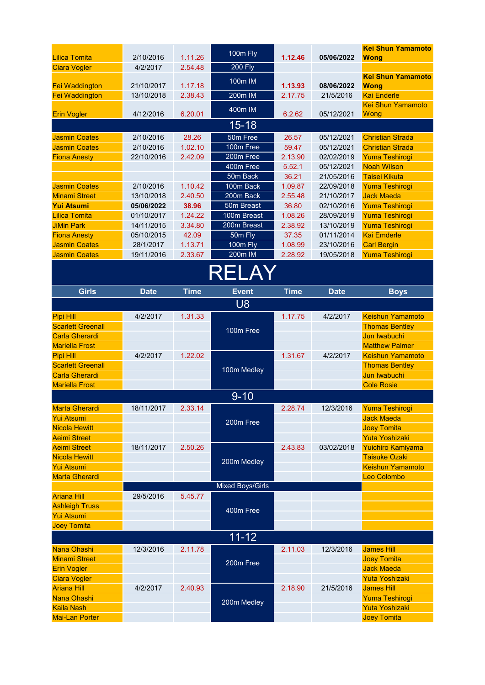| <b>Lilica Tomita</b>                        |                       | 1.11.26     | 100m Fly                |             |             | <b>Kei Shun Yamamoto</b>                    |  |
|---------------------------------------------|-----------------------|-------------|-------------------------|-------------|-------------|---------------------------------------------|--|
| <b>Ciara Vogler</b>                         | 2/10/2016<br>4/2/2017 | 2.54.48     | <b>200 Fly</b>          | 1.12.46     | 05/06/2022  | <b>Wong</b>                                 |  |
|                                             |                       |             |                         |             |             | <b>Kei Shun Yamamoto</b>                    |  |
| Fei Waddington                              | 21/10/2017            | 1.17.18     | 100m IM                 | 1.13.93     | 08/06/2022  | <b>Wong</b>                                 |  |
| <b>Fei Waddington</b>                       | 13/10/2018            | 2.38.43     | 200m IM                 | 2.17.75     | 21/5/2016   | <b>Kai Enderle</b>                          |  |
|                                             |                       |             | 400m IM                 |             |             | <b>Kei Shun Yamamoto</b>                    |  |
| <b>Erin Vogler</b>                          | 4/12/2016             | 6.20.01     |                         | 6.2.62      | 05/12/2021  | Wong                                        |  |
|                                             |                       |             | $15 - 18$               |             |             |                                             |  |
| <b>Jasmin Coates</b>                        | 2/10/2016             | 28.26       | 50m Free                | 26.57       | 05/12/2021  | <b>Christian Strada</b>                     |  |
| <b>Jasmin Coates</b>                        | 2/10/2016             | 1.02.10     | 100m Free               | 59.47       | 05/12/2021  | <b>Christian Strada</b>                     |  |
| <b>Fiona Anesty</b>                         | 22/10/2016            | 2.42.09     | 200m Free               | 2.13.90     | 02/02/2019  | <b>Yuma Teshirogi</b>                       |  |
|                                             |                       |             | 400m Free               | 5.52.1      | 05/12/2021  | <b>Noah Wilson</b>                          |  |
|                                             |                       |             | 50m Back                | 36.21       | 21/05/2016  | <b>Taisei Kikuta</b>                        |  |
| <b>Jasmin Coates</b>                        | 2/10/2016             | 1.10.42     | 100m Back               | 1.09.87     | 22/09/2018  | <b>Yuma Teshirogi</b>                       |  |
| <b>Minami Street</b>                        | 13/10/2018            | 2.40.50     | 200m Back               | 2.55.48     | 21/10/2017  | <b>Jack Maeda</b>                           |  |
| <b>Yui Atsumi</b>                           | 05/06/2022            | 38.96       | 50m Breast              | 36.80       | 02/10/2016  | <b>Yuma Teshirogi</b>                       |  |
| <b>Lilica Tomita</b>                        | 01/10/2017            | 1.24.22     | 100m Breast             | 1.08.26     | 28/09/2019  | <b>Yuma Teshirogi</b>                       |  |
| <b>JiMin Park</b>                           | 14/11/2015            | 3.34.80     | 200m Breast             | 2.38.92     | 13/10/2019  | <b>Yuma Teshirogi</b>                       |  |
| <b>Fiona Anesty</b>                         | 05/10/2015            | 42.09       | 50m Fly                 | 37.35       | 01/11/2014  | <b>Kai Emderle</b>                          |  |
| <b>Jasmin Coates</b>                        | 28/1/2017             | 1.13.71     | 100m Fly                | 1.08.99     | 23/10/2016  | <b>Carl Bergin</b>                          |  |
| <b>Jasmin Coates</b>                        | 19/11/2016            | 2.33.67     | 200m IM                 | 2.28.92     | 19/05/2018  | <b>Yuma Teshirogi</b>                       |  |
| RELAY                                       |                       |             |                         |             |             |                                             |  |
| <b>Girls</b>                                | <b>Date</b>           | <b>Time</b> | <b>Event</b>            | <b>Time</b> | <b>Date</b> | <b>Boys</b>                                 |  |
|                                             |                       |             | U <sub>8</sub>          |             |             |                                             |  |
| Pipi Hill                                   | 4/2/2017              | 1.31.33     |                         | 1.17.75     | 4/2/2017    | <b>Keishun Yamamoto</b>                     |  |
| <b>Scarlett Greenall</b>                    |                       |             |                         |             |             | <b>Thomas Bentley</b>                       |  |
| <b>Carla Gherardi</b>                       |                       |             | 100m Free               |             |             | Jun Iwabuchi                                |  |
| <b>Mariella Frost</b>                       |                       |             |                         |             |             | <b>Matthew Palmer</b>                       |  |
|                                             |                       |             |                         |             |             |                                             |  |
|                                             |                       | 1.22.02     |                         |             |             |                                             |  |
| Pipi Hill<br><b>Scarlett Greenall</b>       | 4/2/2017              |             |                         | 1.31.67     | 4/2/2017    | <b>Keishun Yamamoto</b>                     |  |
| <b>Carla Gherardi</b>                       |                       |             | 100m Medley             |             |             | <b>Thomas Bentley</b><br>Jun Iwabuchi       |  |
| <b>Mariella Frost</b>                       |                       |             |                         |             |             | <b>Cole Rosie</b>                           |  |
|                                             |                       |             |                         |             |             |                                             |  |
|                                             |                       |             | $9 - 10$                |             |             |                                             |  |
| <b>Marta Gherardi</b>                       | 18/11/2017            | 2.33.14     |                         | 2.28.74     | 12/3/2016   | Yuma Teshirogi                              |  |
| <b>Yui Atsumi</b>                           |                       |             | 200m Free               |             |             | <b>Jack Maeda</b>                           |  |
| <b>Nicola Hewitt</b><br><b>Aeimi Street</b> |                       |             |                         |             |             | <b>Joey Tomita</b>                          |  |
| <b>Aeimi Street</b>                         |                       |             |                         |             |             | <b>Yuta Yoshizaki</b>                       |  |
| <b>Nicola Hewitt</b>                        | 18/11/2017            | 2.50.26     |                         | 2.43.83     | 03/02/2018  | Yuichiro Kamiyama<br><b>Taisuke Ozaki</b>   |  |
| <b>Yui Atsumi</b>                           |                       |             | 200m Medley             |             |             | <b>Keishun Yamamoto</b>                     |  |
| <b>Marta Gherardi</b>                       |                       |             |                         |             |             | Leo Colombo                                 |  |
|                                             |                       |             | <b>Mixed Boys/Girls</b> |             |             |                                             |  |
| <b>Ariana Hill</b>                          | 29/5/2016             | 5.45.77     |                         |             |             |                                             |  |
| <b>Ashleigh Truss</b>                       |                       |             |                         |             |             |                                             |  |
| <b>Yui Atsumi</b>                           |                       |             | 400m Free               |             |             |                                             |  |
| <b>Joey Tomita</b>                          |                       |             |                         |             |             |                                             |  |
|                                             |                       |             | $11 - 12$               |             |             |                                             |  |
| Nana Ohashi                                 | 12/3/2016             | 2.11.78     |                         | 2.11.03     | 12/3/2016   | <b>James Hill</b>                           |  |
| <b>Minami Street</b>                        |                       |             |                         |             |             | <b>Joey Tomita</b>                          |  |
| <b>Erin Vogler</b>                          |                       |             | 200m Free               |             |             | <b>Jack Maeda</b>                           |  |
| <b>Ciara Vogler</b>                         |                       |             |                         |             |             | <b>Yuta Yoshizaki</b>                       |  |
| <b>Ariana Hill</b>                          | 4/2/2017              | 2.40.93     |                         | 2.18.90     | 21/5/2016   | <b>James Hill</b>                           |  |
| Nana Ohashi                                 |                       |             |                         |             |             | Yuma Teshirogi                              |  |
| <b>Kaila Nash</b>                           |                       |             | 200m Medley             |             |             | <b>Yuta Yoshizaki</b><br><b>Joey Tomita</b> |  |